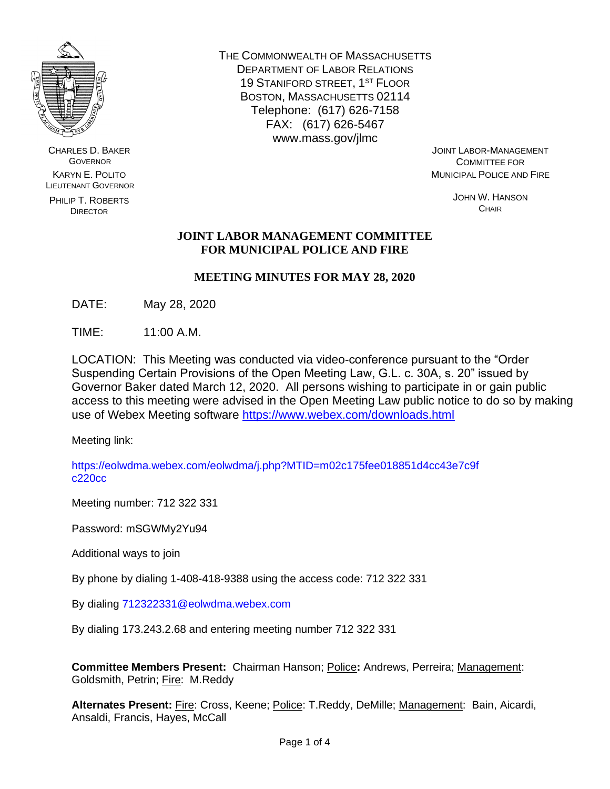

CHARLES D. BAKER GOVERNOR KARYN E. POLITO LIEUTENANT GOVERNOR

PHILIP T. ROBERTS DIRECTOR

THE COMMONWEALTH OF MASSACHUSETTS DEPARTMENT OF LABOR RELATIONS 19 STANIFORD STREET, 1<sup>ST</sup> FLOOR BOSTON, MASSACHUSETTS 02114 Telephone: (617) 626-7158 FAX: (617) 626-5467 www.mass.gov/jlmc

JOINT LABOR-MANAGEMENT COMMITTEE FOR MUNICIPAL POLICE AND FIRE

> JOHN W. HANSON **CHAIR**

## **JOINT LABOR MANAGEMENT COMMITTEE FOR MUNICIPAL POLICE AND FIRE**

# **MEETING MINUTES FOR MAY 28, 2020**

DATE: May 28, 2020

TIME: 11:00 A.M.

LOCATION: This Meeting was conducted via video-conference pursuant to the "Order Suspending Certain Provisions of the Open Meeting Law, G.L. c. 30A, s. 20" issued by Governor Baker dated March 12, 2020. All persons wishing to participate in or gain public access to this meeting were advised in the Open Meeting Law public notice to do so by making use of Webex Meeting software<https://www.webex.com/downloads.html>

Meeting link:

https://eolwdma.webex.com/eolwdma/j.php?MTID=m02c175fee018851d4cc43e7c9f c220cc

Meeting number: 712 322 331

Password: mSGWMy2Yu94

Additional ways to join

By phone by dialing 1-408-418-9388 using the access code: 712 322 331

By dialing 712322331@eolwdma.webex.com

By dialing 173.243.2.68 and entering meeting number 712 322 331

**Committee Members Present:** Chairman Hanson; Police**:** Andrews, Perreira; Management: Goldsmith, Petrin; Fire: M.Reddy

Alternates Present: **Fire: Cross, Keene**; **Police: T.Reddy, DeMille**; **Management:** Bain, Aicardi, Ansaldi, Francis, Hayes, McCall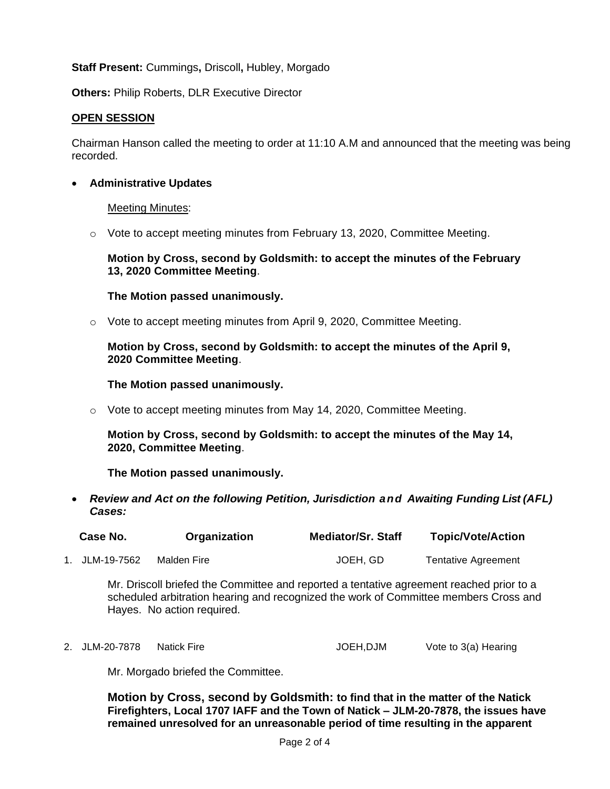## **Staff Present:** Cummings**,** Driscoll**,** Hubley, Morgado

**Others:** Philip Roberts, DLR Executive Director

## **OPEN SESSION**

Chairman Hanson called the meeting to order at 11:10 A.M and announced that the meeting was being recorded.

• **Administrative Updates**

#### **Meeting Minutes:**

 $\circ$  Vote to accept meeting minutes from February 13, 2020, Committee Meeting.

## **Motion by Cross, second by Goldsmith: to accept the minutes of the February 13, 2020 Committee Meeting**.

## **The Motion passed unanimously.**

 $\circ$  Vote to accept meeting minutes from April 9, 2020, Committee Meeting.

**Motion by Cross, second by Goldsmith: to accept the minutes of the April 9, 2020 Committee Meeting**.

#### **The Motion passed unanimously.**

 $\circ$  Vote to accept meeting minutes from May 14, 2020, Committee Meeting.

**Motion by Cross, second by Goldsmith: to accept the minutes of the May 14, 2020, Committee Meeting**.

**The Motion passed unanimously.**

• *Review and Act on the following Petition, Jurisdiction and Awaiting Funding List (AFL) Cases:*

| Case No. | Organization | <b>Mediator/Sr. Staff</b> | <b>Topic/Vote/Action</b> |
|----------|--------------|---------------------------|--------------------------|
|          |              |                           |                          |

1. JLM-19-7562 Malden Fire **JOEH, GD** Tentative Agreement

Mr. Driscoll briefed the Committee and reported a tentative agreement reached prior to a scheduled arbitration hearing and recognized the work of Committee members Cross and Hayes. No action required.

2. JLM-20-7878 Natick Fire **JOEH,DJM** Vote to 3(a) Hearing

Mr. Morgado briefed the Committee.

**Motion by Cross, second by Goldsmith: to find that in the matter of the Natick Firefighters, Local 1707 IAFF and the Town of Natick – JLM-20-7878, the issues have remained unresolved for an unreasonable period of time resulting in the apparent**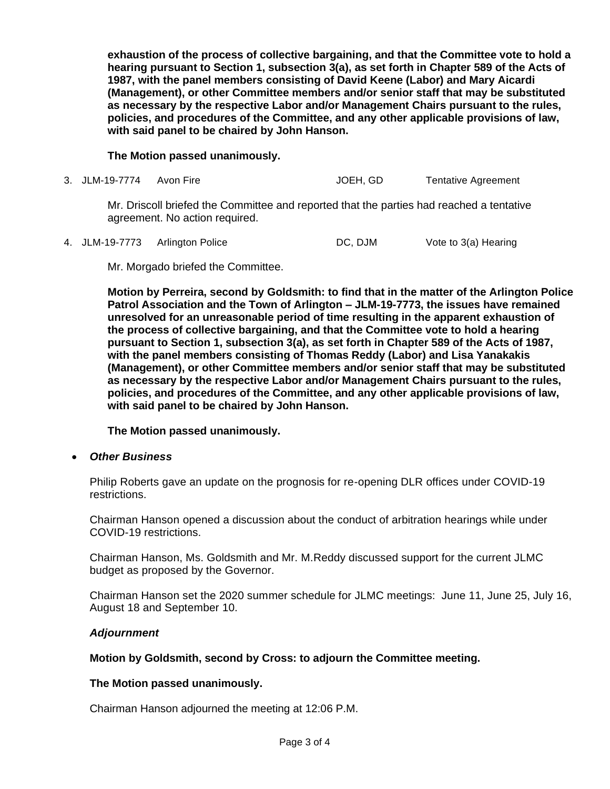**exhaustion of the process of collective bargaining, and that the Committee vote to hold a hearing pursuant to Section 1, subsection 3(a), as set forth in Chapter 589 of the Acts of 1987, with the panel members consisting of David Keene (Labor) and Mary Aicardi (Management), or other Committee members and/or senior staff that may be substituted as necessary by the respective Labor and/or Management Chairs pursuant to the rules, policies, and procedures of the Committee, and any other applicable provisions of law, with said panel to be chaired by John Hanson.**

## **The Motion passed unanimously.**

3. JLM-19-7774 Avon Fire **JOEH, GD** Tentative Agreement

Mr. Driscoll briefed the Committee and reported that the parties had reached a tentative agreement. No action required.

4. JLM-19-7773 Arlington Police DC, DJM Vote to 3(a) Hearing

Mr. Morgado briefed the Committee.

**Motion by Perreira, second by Goldsmith: to find that in the matter of the Arlington Police Patrol Association and the Town of Arlington – JLM-19-7773, the issues have remained unresolved for an unreasonable period of time resulting in the apparent exhaustion of the process of collective bargaining, and that the Committee vote to hold a hearing pursuant to Section 1, subsection 3(a), as set forth in Chapter 589 of the Acts of 1987, with the panel members consisting of Thomas Reddy (Labor) and Lisa Yanakakis (Management), or other Committee members and/or senior staff that may be substituted as necessary by the respective Labor and/or Management Chairs pursuant to the rules, policies, and procedures of the Committee, and any other applicable provisions of law, with said panel to be chaired by John Hanson.**

**The Motion passed unanimously.**

• *Other Business*

Philip Roberts gave an update on the prognosis for re-opening DLR offices under COVID-19 restrictions.

Chairman Hanson opened a discussion about the conduct of arbitration hearings while under COVID-19 restrictions.

Chairman Hanson, Ms. Goldsmith and Mr. M.Reddy discussed support for the current JLMC budget as proposed by the Governor.

Chairman Hanson set the 2020 summer schedule for JLMC meetings: June 11, June 25, July 16, August 18 and September 10.

#### *Adjournment*

#### **Motion by Goldsmith, second by Cross: to adjourn the Committee meeting.**

#### **The Motion passed unanimously.**

Chairman Hanson adjourned the meeting at 12:06 P.M.